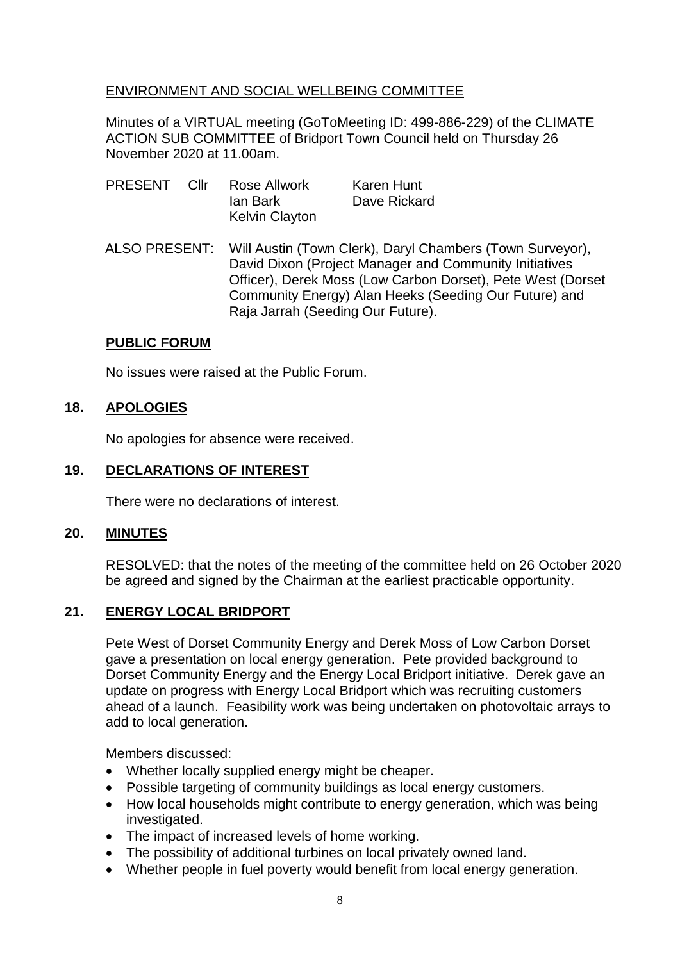## ENVIRONMENT AND SOCIAL WELLBEING COMMITTEE

Minutes of a VIRTUAL meeting (GoToMeeting ID: 499-886-229) of the CLIMATE ACTION SUB COMMITTEE of Bridport Town Council held on Thursday 26 November 2020 at 11.00am.

- PRESENT Cllr Rose Allwork Karen Hunt Ian Bark Dave Rickard Kelvin Clayton
- ALSO PRESENT: Will Austin (Town Clerk), Daryl Chambers (Town Surveyor), David Dixon (Project Manager and Community Initiatives Officer), Derek Moss (Low Carbon Dorset), Pete West (Dorset Community Energy) Alan Heeks (Seeding Our Future) and Raja Jarrah (Seeding Our Future).

### **PUBLIC FORUM**

No issues were raised at the Public Forum.

## **18. APOLOGIES**

No apologies for absence were received.

### **19. DECLARATIONS OF INTEREST**

There were no declarations of interest.

#### **20. MINUTES**

RESOLVED: that the notes of the meeting of the committee held on 26 October 2020 be agreed and signed by the Chairman at the earliest practicable opportunity.

#### **21. ENERGY LOCAL BRIDPORT**

Pete West of Dorset Community Energy and Derek Moss of Low Carbon Dorset gave a presentation on local energy generation. Pete provided background to Dorset Community Energy and the Energy Local Bridport initiative. Derek gave an update on progress with Energy Local Bridport which was recruiting customers ahead of a launch. Feasibility work was being undertaken on photovoltaic arrays to add to local generation.

Members discussed:

- Whether locally supplied energy might be cheaper.
- Possible targeting of community buildings as local energy customers.
- How local households might contribute to energy generation, which was being investigated.
- The impact of increased levels of home working.
- The possibility of additional turbines on local privately owned land.
- Whether people in fuel poverty would benefit from local energy generation.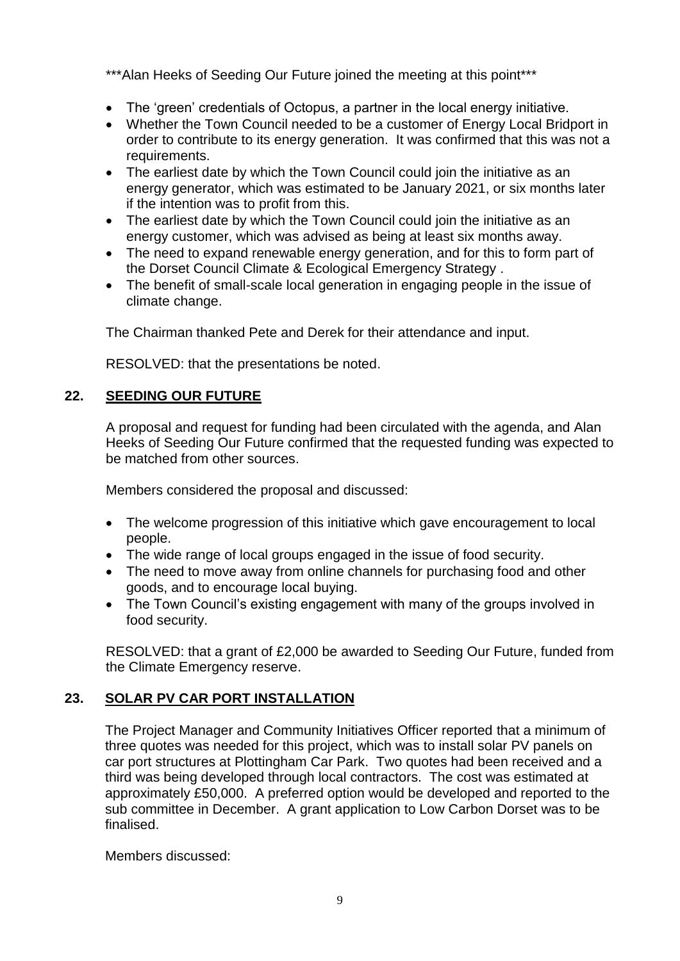\*\*\*Alan Heeks of Seeding Our Future joined the meeting at this point\*\*\*

- The 'green' credentials of Octopus, a partner in the local energy initiative.
- Whether the Town Council needed to be a customer of Energy Local Bridport in order to contribute to its energy generation. It was confirmed that this was not a requirements.
- The earliest date by which the Town Council could join the initiative as an energy generator, which was estimated to be January 2021, or six months later if the intention was to profit from this.
- The earliest date by which the Town Council could join the initiative as an energy customer, which was advised as being at least six months away.
- The need to expand renewable energy generation, and for this to form part of the Dorset Council Climate & Ecological Emergency Strategy .
- The benefit of small-scale local generation in engaging people in the issue of climate change.

The Chairman thanked Pete and Derek for their attendance and input.

RESOLVED: that the presentations be noted.

# **22. SEEDING OUR FUTURE**

A proposal and request for funding had been circulated with the agenda, and Alan Heeks of Seeding Our Future confirmed that the requested funding was expected to be matched from other sources.

Members considered the proposal and discussed:

- The welcome progression of this initiative which gave encouragement to local people.
- The wide range of local groups engaged in the issue of food security.
- The need to move away from online channels for purchasing food and other goods, and to encourage local buying.
- The Town Council's existing engagement with many of the groups involved in food security.

RESOLVED: that a grant of £2,000 be awarded to Seeding Our Future, funded from the Climate Emergency reserve.

# **23. SOLAR PV CAR PORT INSTALLATION**

The Project Manager and Community Initiatives Officer reported that a minimum of three quotes was needed for this project, which was to install solar PV panels on car port structures at Plottingham Car Park. Two quotes had been received and a third was being developed through local contractors. The cost was estimated at approximately £50,000. A preferred option would be developed and reported to the sub committee in December. A grant application to Low Carbon Dorset was to be finalised.

Members discussed: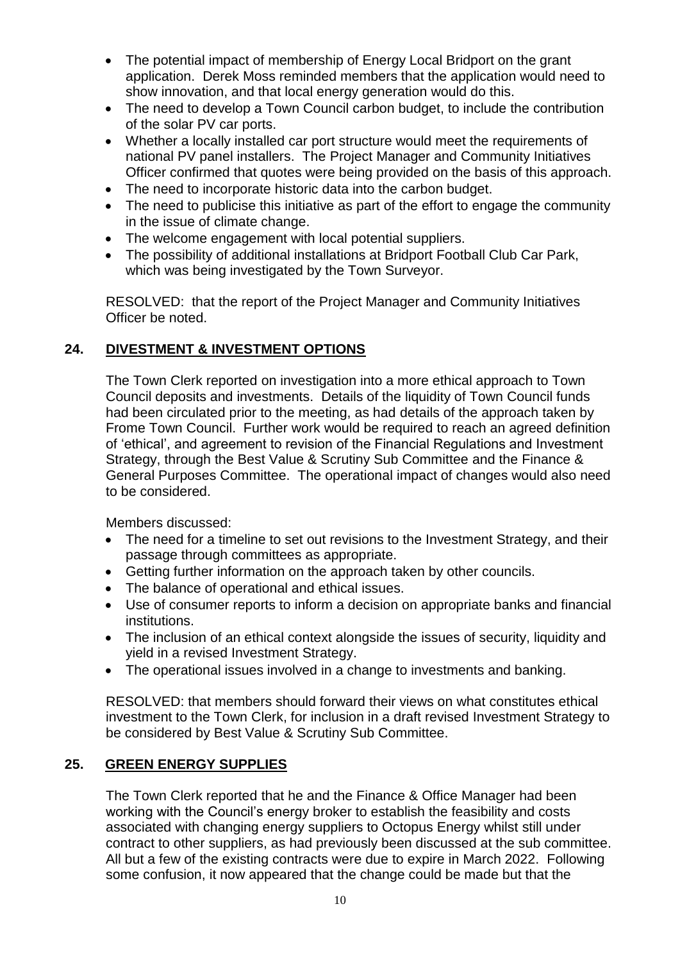- The potential impact of membership of Energy Local Bridport on the grant application. Derek Moss reminded members that the application would need to show innovation, and that local energy generation would do this.
- The need to develop a Town Council carbon budget, to include the contribution of the solar PV car ports.
- Whether a locally installed car port structure would meet the requirements of national PV panel installers. The Project Manager and Community Initiatives Officer confirmed that quotes were being provided on the basis of this approach.
- The need to incorporate historic data into the carbon budget.
- The need to publicise this initiative as part of the effort to engage the community in the issue of climate change.
- The welcome engagement with local potential suppliers.
- The possibility of additional installations at Bridport Football Club Car Park, which was being investigated by the Town Surveyor.

RESOLVED: that the report of the Project Manager and Community Initiatives Officer be noted.

# **24. DIVESTMENT & INVESTMENT OPTIONS**

The Town Clerk reported on investigation into a more ethical approach to Town Council deposits and investments. Details of the liquidity of Town Council funds had been circulated prior to the meeting, as had details of the approach taken by Frome Town Council. Further work would be required to reach an agreed definition of 'ethical', and agreement to revision of the Financial Regulations and Investment Strategy, through the Best Value & Scrutiny Sub Committee and the Finance & General Purposes Committee. The operational impact of changes would also need to be considered.

Members discussed:

- The need for a timeline to set out revisions to the Investment Strategy, and their passage through committees as appropriate.
- Getting further information on the approach taken by other councils.
- The balance of operational and ethical issues.
- Use of consumer reports to inform a decision on appropriate banks and financial institutions.
- The inclusion of an ethical context alongside the issues of security, liquidity and yield in a revised Investment Strategy.
- The operational issues involved in a change to investments and banking.

RESOLVED: that members should forward their views on what constitutes ethical investment to the Town Clerk, for inclusion in a draft revised Investment Strategy to be considered by Best Value & Scrutiny Sub Committee.

## **25. GREEN ENERGY SUPPLIES**

The Town Clerk reported that he and the Finance & Office Manager had been working with the Council's energy broker to establish the feasibility and costs associated with changing energy suppliers to Octopus Energy whilst still under contract to other suppliers, as had previously been discussed at the sub committee. All but a few of the existing contracts were due to expire in March 2022. Following some confusion, it now appeared that the change could be made but that the